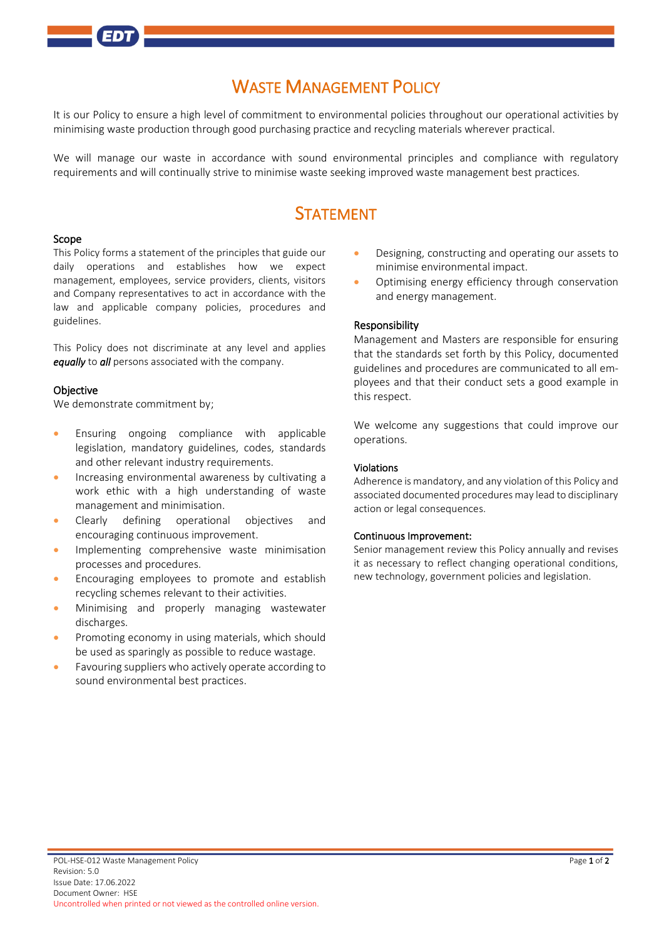# WASTE MANAGEMENT POLICY

It is our Policy to ensure a high level of commitment to environmental policies throughout our operational activities by minimising waste production through good purchasing practice and recycling materials wherever practical.

We will manage our waste in accordance with sound environmental principles and compliance with regulatory requirements and will continually strive to minimise waste seeking improved waste management best practices.

# **STATEMENT**

#### Scope

This Policy forms a statement of the principles that guide our daily operations and establishes how we expect management, employees, service providers, clients, visitors and Company representatives to act in accordance with the law and applicable company policies, procedures and guidelines.

This Policy does not discriminate at any level and applies *equally* to *all* persons associated with the company.

#### **Objective**

We demonstrate commitment by;

- Ensuring ongoing compliance with applicable legislation, mandatory guidelines, codes, standards and other relevant industry requirements.
- Increasing environmental awareness by cultivating a work ethic with a high understanding of waste management and minimisation.
- Clearly defining operational objectives and encouraging continuous improvement.
- Implementing comprehensive waste minimisation processes and procedures.
- Encouraging employees to promote and establish recycling schemes relevant to their activities.
- Minimising and properly managing wastewater discharges.
- Promoting economy in using materials, which should be used as sparingly as possible to reduce wastage.
- Favouring suppliers who actively operate according to sound environmental best practices.
- Designing, constructing and operating our assets to minimise environmental impact.
- Optimising energy efficiency through conservation and energy management.

#### Responsibility

Management and Masters are responsible for ensuring that the standards set forth by this Policy, documented guidelines and procedures are communicated to all employees and that their conduct sets a good example in this respect.

We welcome any suggestions that could improve our operations.

### Violations

Adherence is mandatory, and any violation of this Policy and associated documented procedures may lead to disciplinary action or legal consequences.

### Continuous Improvement:

Senior management review this Policy annually and revises it as necessary to reflect changing operational conditions, new technology, government policies and legislation.